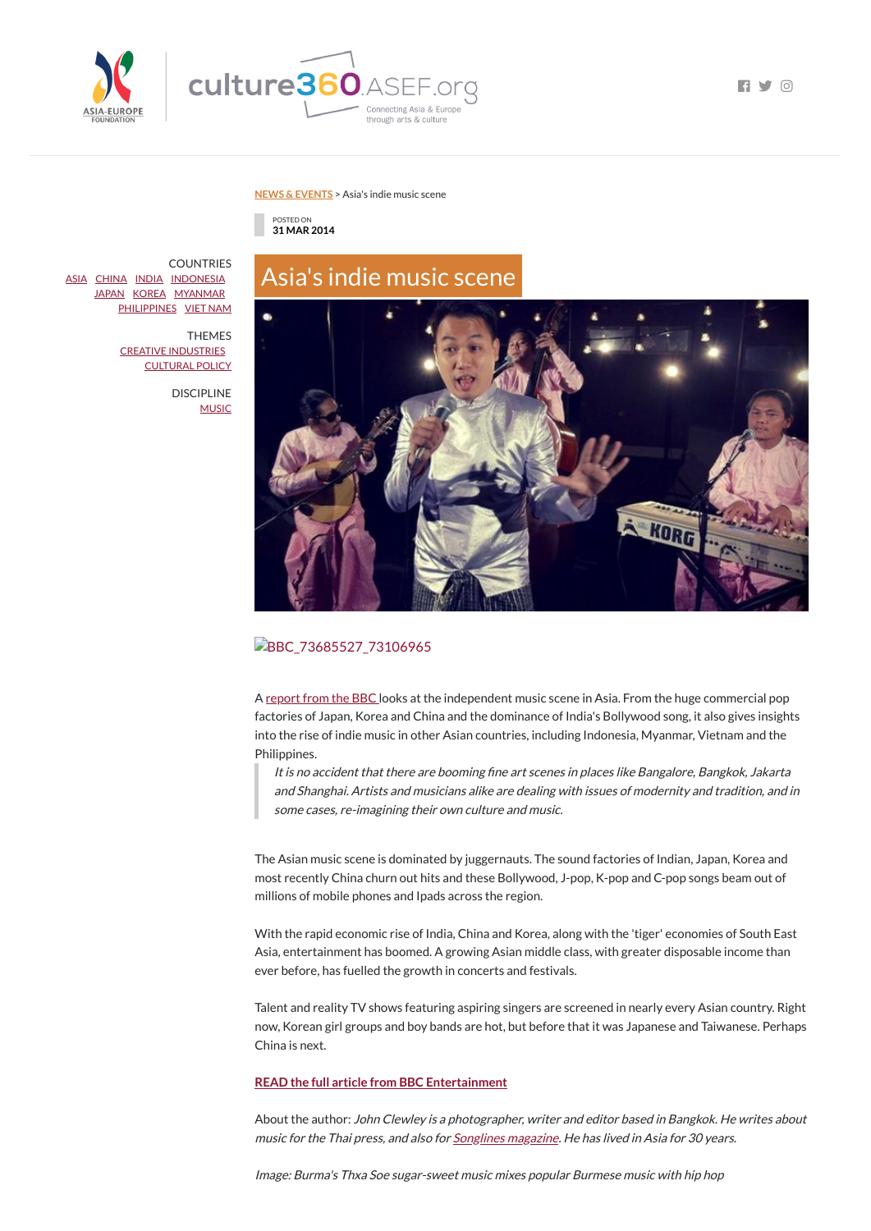



**FI Y 0** 

#### **NEWS & [EVENTS](https://culture360.asef.org/news-events/)** > Asia's indie music scene

POSTED ON **31 MAR 2014**

# Asia's indie music scene



BBC\_73685527\_73106965

A [report](http://www.bbc.co.uk/news/entertainment-arts-26654112) from the BBC looks at the independent music scene in Asia. From the huge commercial pop factories of Japan, Korea and China and the dominance of India's Bollywood song, it also gives insights into the rise of indie music in other Asian countries, including Indonesia, Myanmar, Vietnam and the Philippines.

It is no accident that there are booming fine art scenes in places like Bangalore, Bangkok, Jakarta and Shanghai. Artists and musicians alike are dealing with issues of modernity and tradition, and in some cases, re-imagining their own culture and music.

About the author: John Clewley is <sup>a</sup> photographer, writer and editor based in Bangkok. He writes about music for the Thai press, and also for **[Songlines](http://www.songlines.co.uk/) magazine**. He has lived in Asia for 30 years.

The Asian music scene is dominated by juggernauts. The sound factories of Indian, Japan, Korea and most recently China churn out hits and these Bollywood, J-pop, K-pop and C-pop songs beam out of millions of mobile phones and Ipads across the region.

**COUNTRIES** [ASIA](https://culture360.asef.org/countries/asia/) [CHINA](https://culture360.asef.org/countries/china/) [INDIA](https://culture360.asef.org/countries/india/) [INDONESIA](https://culture360.asef.org/countries/indonesia/) [JAPAN](https://culture360.asef.org/countries/japan/) [KOREA](https://culture360.asef.org/countries/korea/) [MYANMAR](https://culture360.asef.org/countries/myanmar/) [PHILIPPINES](https://culture360.asef.org/countries/philippines/) VIET [NAM](https://culture360.asef.org/countries/viet-nam/)

> DISCIPLINE **[MUSIC](https://culture360.asef.org/disciplines/music/)**

> > With the rapid economic rise of India, China and Korea, along with the 'tiger' economies of South East Asia, entertainment has boomed. A growing Asian middle class, with greater disposable income than ever before, has fuelled the growth in concerts and festivals.

Talent and reality TV shows featuring aspiring singers are screened in nearly every Asian country. Right now, Korean girl groups and boy bands are hot, but before that it was Japanese and Taiwanese. Perhaps China is next.

#### **READ the full article from BBC [Entertainment](http://www.bbc.co.uk/news/entertainment-arts-26654112)**

Image: Burma's Thxa Soe sugar-sweet music mixes popular Burmese music with hip hop

THEMES CREATIVE [INDUSTRIES](https://culture360.asef.org/themes/creative-industries/) [CULTURAL](https://culture360.asef.org/themes/cultural-policy/) POLICY